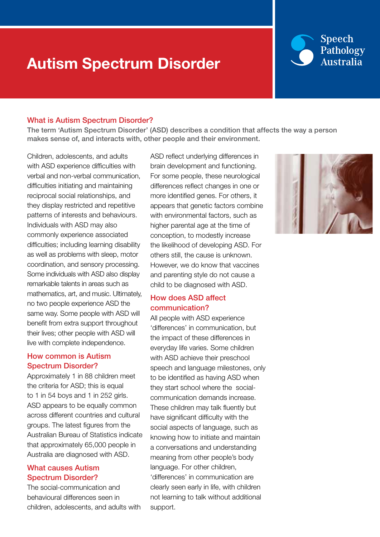## Autism Spectrum Disorder

### **Speech** Pathology **Australia**

#### What is Autism Spectrum Disorder?

The term 'Autism Spectrum Disorder' (ASD) describes a condition that affects the way a person makes sense of, and interacts with, other people and their environment.

Children, adolescents, and adults with ASD experience difficulties with verbal and non-verbal communication, difficulties initiating and maintaining reciprocal social relationships, and they display restricted and repetitive patterns of interests and behaviours. Individuals with ASD may also commonly experience associated difficulties; including learning disability as well as problems with sleep, motor coordination, and sensory processing. Some individuals with ASD also display remarkable talents in areas such as mathematics, art, and music. Ultimately, no two people experience ASD the same way. Some people with ASD will benefit from extra support throughout their lives; other people with ASD will live with complete independence.

#### How common is Autism Spectrum Disorder?

Approximately 1 in 88 children meet the criteria for ASD; this is equal to 1 in 54 boys and 1 in 252 girls. ASD appears to be equally common across different countries and cultural groups. The latest figures from the Australian Bureau of Statistics indicate that approximately 65,000 people in Australia are diagnosed with ASD.

#### What causes Autism Spectrum Disorder?

The social-communication and behavioural differences seen in children, adolescents, and adults with ASD reflect underlying differences in brain development and functioning. For some people, these neurological differences reflect changes in one or more identified genes. For others, it appears that genetic factors combine with environmental factors, such as higher parental age at the time of conception, to modestly increase the likelihood of developing ASD. For others still, the cause is unknown. However, we do know that vaccines and parenting style do not cause a child to be diagnosed with ASD.

### How does ASD affect communication?

All people with ASD experience 'differences' in communication, but the impact of these differences in everyday life varies. Some children with ASD achieve their preschool speech and language milestones, only to be identified as having ASD when they start school where the socialcommunication demands increase. These children may talk fluently but have significant difficulty with the social aspects of language, such as knowing how to initiate and maintain a conversations and understanding meaning from other people's body language. For other children, 'differences' in communication are clearly seen early in life, with children not learning to talk without additional support.